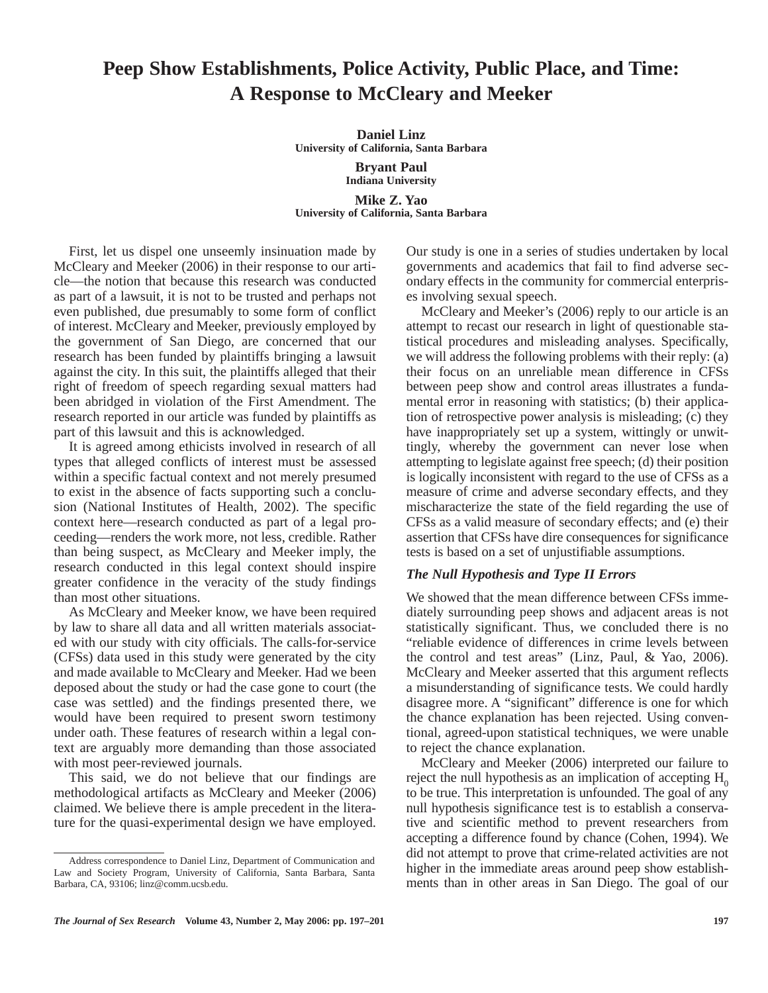# **Peep Show Establishments, Police Activity, Public Place, and Time: A Response to McCleary and Meeker**

**Daniel Linz University of California, Santa Barbara**

> **Bryant Paul Indiana University**

**Mike Z. Yao University of California, Santa Barbara**

First, let us dispel one unseemly insinuation made by McCleary and Meeker (2006) in their response to our article—the notion that because this research was conducted as part of a lawsuit, it is not to be trusted and perhaps not even published, due presumably to some form of conflict of interest. McCleary and Meeker, previously employed by the government of San Diego, are concerned that our research has been funded by plaintiffs bringing a lawsuit against the city. In this suit, the plaintiffs alleged that their right of freedom of speech regarding sexual matters had been abridged in violation of the First Amendment. The research reported in our article was funded by plaintiffs as part of this lawsuit and this is acknowledged.

It is agreed among ethicists involved in research of all types that alleged conflicts of interest must be assessed within a specific factual context and not merely presumed to exist in the absence of facts supporting such a conclusion (National Institutes of Health, 2002). The specific context here—research conducted as part of a legal proceeding—renders the work more, not less, credible. Rather than being suspect, as McCleary and Meeker imply, the research conducted in this legal context should inspire greater confidence in the veracity of the study findings than most other situations.

As McCleary and Meeker know, we have been required by law to share all data and all written materials associated with our study with city officials. The calls-for-service (CFSs) data used in this study were generated by the city and made available to McCleary and Meeker. Had we been deposed about the study or had the case gone to court (the case was settled) and the findings presented there, we would have been required to present sworn testimony under oath. These features of research within a legal context are arguably more demanding than those associated with most peer-reviewed journals.

This said, we do not believe that our findings are methodological artifacts as McCleary and Meeker (2006) claimed. We believe there is ample precedent in the literature for the quasi-experimental design we have employed. Our study is one in a series of studies undertaken by local governments and academics that fail to find adverse secondary effects in the community for commercial enterprises involving sexual speech.

McCleary and Meeker's (2006) reply to our article is an attempt to recast our research in light of questionable statistical procedures and misleading analyses. Specifically, we will address the following problems with their reply: (a) their focus on an unreliable mean difference in CFSs between peep show and control areas illustrates a fundamental error in reasoning with statistics; (b) their application of retrospective power analysis is misleading; (c) they have inappropriately set up a system, wittingly or unwittingly, whereby the government can never lose when attempting to legislate against free speech; (d) their position is logically inconsistent with regard to the use of CFSs as a measure of crime and adverse secondary effects, and they mischaracterize the state of the field regarding the use of CFSs as a valid measure of secondary effects; and (e) their assertion that CFSs have dire consequences for significance tests is based on a set of unjustifiable assumptions.

# *The Null Hypothesis and Type II Errors*

We showed that the mean difference between CFSs immediately surrounding peep shows and adjacent areas is not statistically significant. Thus, we concluded there is no "reliable evidence of differences in crime levels between the control and test areas" (Linz, Paul, & Yao, 2006). McCleary and Meeker asserted that this argument reflects a misunderstanding of significance tests. We could hardly disagree more. A "significant" difference is one for which the chance explanation has been rejected. Using conventional, agreed-upon statistical techniques, we were unable to reject the chance explanation.

McCleary and Meeker (2006) interpreted our failure to reject the null hypothesis as an implication of accepting  $H_0$ to be true. This interpretation is unfounded. The goal of any null hypothesis significance test is to establish a conservative and scientific method to prevent researchers from accepting a difference found by chance (Cohen, 1994). We did not attempt to prove that crime-related activities are not higher in the immediate areas around peep show establishments than in other areas in San Diego. The goal of our

Address correspondence to Daniel Linz, Department of Communication and Law and Society Program, University of California, Santa Barbara, Santa Barbara, CA, 93106; linz@comm.ucsb.edu.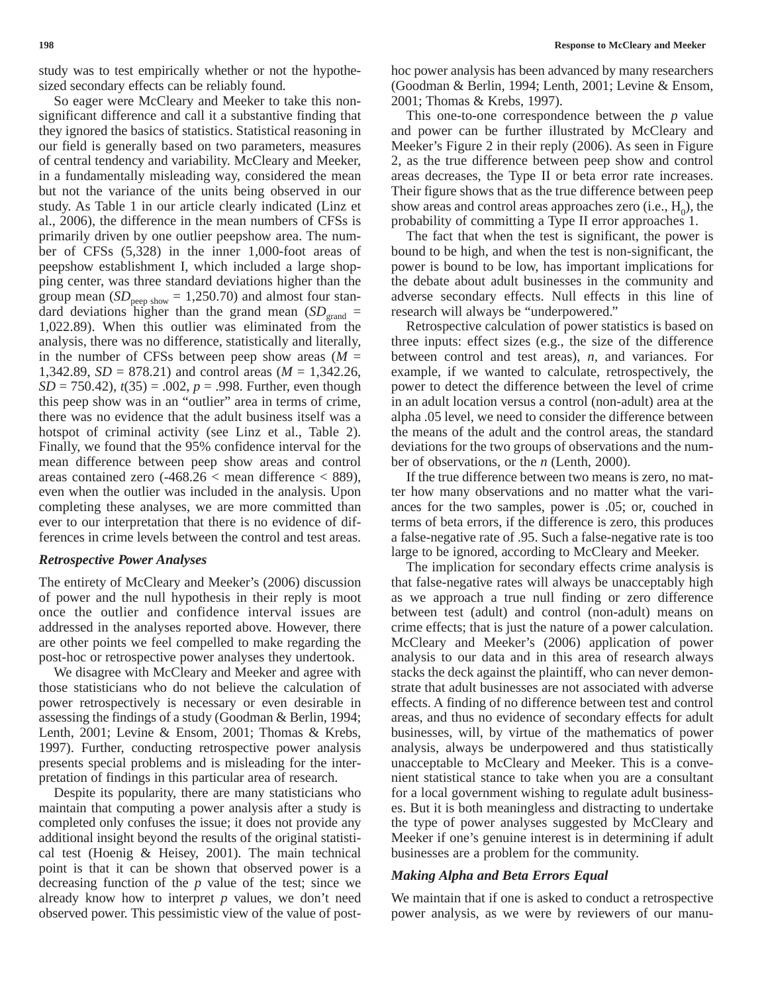study was to test empirically whether or not the hypothesized secondary effects can be reliably found.

So eager were McCleary and Meeker to take this nonsignificant difference and call it a substantive finding that they ignored the basics of statistics. Statistical reasoning in our field is generally based on two parameters, measures of central tendency and variability. McCleary and Meeker, in a fundamentally misleading way, considered the mean but not the variance of the units being observed in our study. As Table 1 in our article clearly indicated (Linz et al., 2006), the difference in the mean numbers of CFSs is primarily driven by one outlier peepshow area. The number of CFSs (5,328) in the inner 1,000-foot areas of peepshow establishment I, which included a large shopping center, was three standard deviations higher than the group mean  $(SD_{\text{peep show}} = 1,250.70)$  and almost four standard deviations higher than the grand mean  $(SD<sub>grand</sub> =$ 1,022.89). When this outlier was eliminated from the analysis, there was no difference, statistically and literally, in the number of CFSs between peep show areas  $(M =$ 1,342.89, *SD* = 878.21) and control areas (*M* = 1,342.26, *SD* = 750.42), *t*(35) = .002, *p* = .998. Further, even though this peep show was in an "outlier" area in terms of crime, there was no evidence that the adult business itself was a hotspot of criminal activity (see Linz et al., Table 2). Finally, we found that the 95% confidence interval for the mean difference between peep show areas and control areas contained zero  $(-468.26 <$  mean difference  $< 889$ ), even when the outlier was included in the analysis. Upon completing these analyses, we are more committed than ever to our interpretation that there is no evidence of differences in crime levels between the control and test areas.

#### *Retrospective Power Analyses*

The entirety of McCleary and Meeker's (2006) discussion of power and the null hypothesis in their reply is moot once the outlier and confidence interval issues are addressed in the analyses reported above. However, there are other points we feel compelled to make regarding the post-hoc or retrospective power analyses they undertook.

We disagree with McCleary and Meeker and agree with those statisticians who do not believe the calculation of power retrospectively is necessary or even desirable in assessing the findings of a study (Goodman & Berlin, 1994; Lenth, 2001; Levine & Ensom, 2001; Thomas & Krebs, 1997). Further, conducting retrospective power analysis presents special problems and is misleading for the interpretation of findings in this particular area of research.

Despite its popularity, there are many statisticians who maintain that computing a power analysis after a study is completed only confuses the issue; it does not provide any additional insight beyond the results of the original statistical test (Hoenig & Heisey, 2001). The main technical point is that it can be shown that observed power is a decreasing function of the *p* value of the test; since we already know how to interpret *p* values, we don't need observed power. This pessimistic view of the value of posthoc power analysis has been advanced by many researchers (Goodman & Berlin, 1994; Lenth, 2001; Levine & Ensom, 2001; Thomas & Krebs, 1997).

This one-to-one correspondence between the *p* value and power can be further illustrated by McCleary and Meeker's Figure 2 in their reply (2006). As seen in Figure 2, as the true difference between peep show and control areas decreases, the Type II or beta error rate increases. Their figure shows that as the true difference between peep show areas and control areas approaches zero (i.e.,  $H_0$ ), the probability of committing a Type II error approaches 1.

The fact that when the test is significant, the power is bound to be high, and when the test is non-significant, the power is bound to be low, has important implications for the debate about adult businesses in the community and adverse secondary effects. Null effects in this line of research will always be "underpowered."

Retrospective calculation of power statistics is based on three inputs: effect sizes (e.g., the size of the difference between control and test areas), *n,* and variances. For example, if we wanted to calculate, retrospectively, the power to detect the difference between the level of crime in an adult location versus a control (non-adult) area at the alpha .05 level, we need to consider the difference between the means of the adult and the control areas, the standard deviations for the two groups of observations and the number of observations, or the *n* (Lenth, 2000).

If the true difference between two means is zero, no matter how many observations and no matter what the variances for the two samples, power is .05; or, couched in terms of beta errors, if the difference is zero, this produces a false-negative rate of .95. Such a false-negative rate is too large to be ignored, according to McCleary and Meeker.

The implication for secondary effects crime analysis is that false-negative rates will always be unacceptably high as we approach a true null finding or zero difference between test (adult) and control (non-adult) means on crime effects; that is just the nature of a power calculation. McCleary and Meeker's (2006) application of power analysis to our data and in this area of research always stacks the deck against the plaintiff, who can never demonstrate that adult businesses are not associated with adverse effects. A finding of no difference between test and control areas, and thus no evidence of secondary effects for adult businesses, will, by virtue of the mathematics of power analysis, always be underpowered and thus statistically unacceptable to McCleary and Meeker. This is a convenient statistical stance to take when you are a consultant for a local government wishing to regulate adult businesses. But it is both meaningless and distracting to undertake the type of power analyses suggested by McCleary and Meeker if one's genuine interest is in determining if adult businesses are a problem for the community.

### *Making Alpha and Beta Errors Equal*

We maintain that if one is asked to conduct a retrospective power analysis, as we were by reviewers of our manu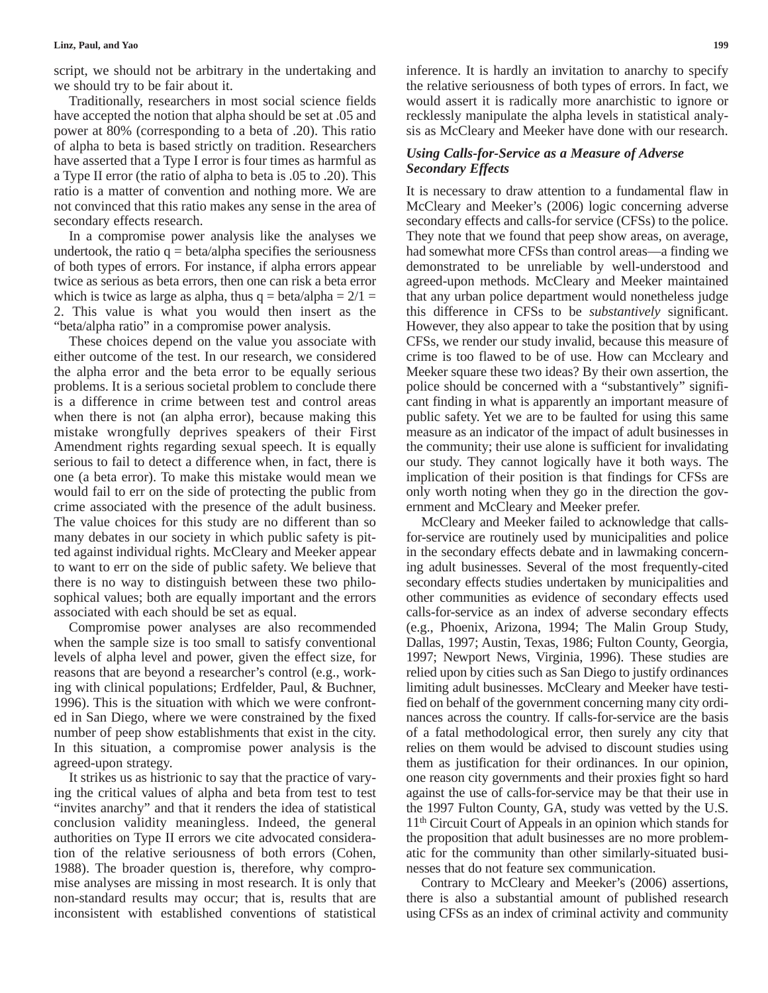script, we should not be arbitrary in the undertaking and we should try to be fair about it.

Traditionally, researchers in most social science fields have accepted the notion that alpha should be set at .05 and power at 80% (corresponding to a beta of .20). This ratio of alpha to beta is based strictly on tradition. Researchers have asserted that a Type I error is four times as harmful as a Type II error (the ratio of alpha to beta is .05 to .20). This ratio is a matter of convention and nothing more. We are not convinced that this ratio makes any sense in the area of secondary effects research.

In a compromise power analysis like the analyses we undertook, the ratio  $q = \beta \text{eta/alpha}$  specifies the seriousness of both types of errors. For instance, if alpha errors appear twice as serious as beta errors, then one can risk a beta error which is twice as large as alpha, thus  $q = \text{beta/alpha} = 2/1 =$ 2. This value is what you would then insert as the "beta/alpha ratio" in a compromise power analysis.

These choices depend on the value you associate with either outcome of the test. In our research, we considered the alpha error and the beta error to be equally serious problems. It is a serious societal problem to conclude there is a difference in crime between test and control areas when there is not (an alpha error), because making this mistake wrongfully deprives speakers of their First Amendment rights regarding sexual speech. It is equally serious to fail to detect a difference when, in fact, there is one (a beta error). To make this mistake would mean we would fail to err on the side of protecting the public from crime associated with the presence of the adult business. The value choices for this study are no different than so many debates in our society in which public safety is pitted against individual rights. McCleary and Meeker appear to want to err on the side of public safety. We believe that there is no way to distinguish between these two philosophical values; both are equally important and the errors associated with each should be set as equal.

Compromise power analyses are also recommended when the sample size is too small to satisfy conventional levels of alpha level and power, given the effect size, for reasons that are beyond a researcher's control (e.g., working with clinical populations; Erdfelder, Paul, & Buchner, 1996). This is the situation with which we were confronted in San Diego, where we were constrained by the fixed number of peep show establishments that exist in the city. In this situation, a compromise power analysis is the agreed-upon strategy.

It strikes us as histrionic to say that the practice of varying the critical values of alpha and beta from test to test "invites anarchy" and that it renders the idea of statistical conclusion validity meaningless. Indeed, the general authorities on Type II errors we cite advocated consideration of the relative seriousness of both errors (Cohen, 1988). The broader question is, therefore, why compromise analyses are missing in most research. It is only that non-standard results may occur; that is, results that are inconsistent with established conventions of statistical

inference. It is hardly an invitation to anarchy to specify the relative seriousness of both types of errors. In fact, we would assert it is radically more anarchistic to ignore or recklessly manipulate the alpha levels in statistical analysis as McCleary and Meeker have done with our research.

# *Using Calls-for-Service as a Measure of Adverse Secondary Effects*

It is necessary to draw attention to a fundamental flaw in McCleary and Meeker's (2006) logic concerning adverse secondary effects and calls-for service (CFSs) to the police. They note that we found that peep show areas, on average, had somewhat more CFSs than control areas—a finding we demonstrated to be unreliable by well-understood and agreed-upon methods. McCleary and Meeker maintained that any urban police department would nonetheless judge this difference in CFSs to be *substantively* significant. However, they also appear to take the position that by using CFSs, we render our study invalid, because this measure of crime is too flawed to be of use. How can Mccleary and Meeker square these two ideas? By their own assertion, the police should be concerned with a "substantively" significant finding in what is apparently an important measure of public safety. Yet we are to be faulted for using this same measure as an indicator of the impact of adult businesses in the community; their use alone is sufficient for invalidating our study. They cannot logically have it both ways. The implication of their position is that findings for CFSs are only worth noting when they go in the direction the government and McCleary and Meeker prefer.

McCleary and Meeker failed to acknowledge that callsfor-service are routinely used by municipalities and police in the secondary effects debate and in lawmaking concerning adult businesses. Several of the most frequently-cited secondary effects studies undertaken by municipalities and other communities as evidence of secondary effects used calls-for-service as an index of adverse secondary effects (e.g., Phoenix, Arizona, 1994; The Malin Group Study, Dallas, 1997; Austin, Texas, 1986; Fulton County, Georgia, 1997; Newport News, Virginia, 1996). These studies are relied upon by cities such as San Diego to justify ordinances limiting adult businesses. McCleary and Meeker have testified on behalf of the government concerning many city ordinances across the country. If calls-for-service are the basis of a fatal methodological error, then surely any city that relies on them would be advised to discount studies using them as justification for their ordinances. In our opinion, one reason city governments and their proxies fight so hard against the use of calls-for-service may be that their use in the 1997 Fulton County, GA, study was vetted by the U.S. 11th Circuit Court of Appeals in an opinion which stands for the proposition that adult businesses are no more problematic for the community than other similarly-situated businesses that do not feature sex communication.

Contrary to McCleary and Meeker's (2006) assertions, there is also a substantial amount of published research using CFSs as an index of criminal activity and community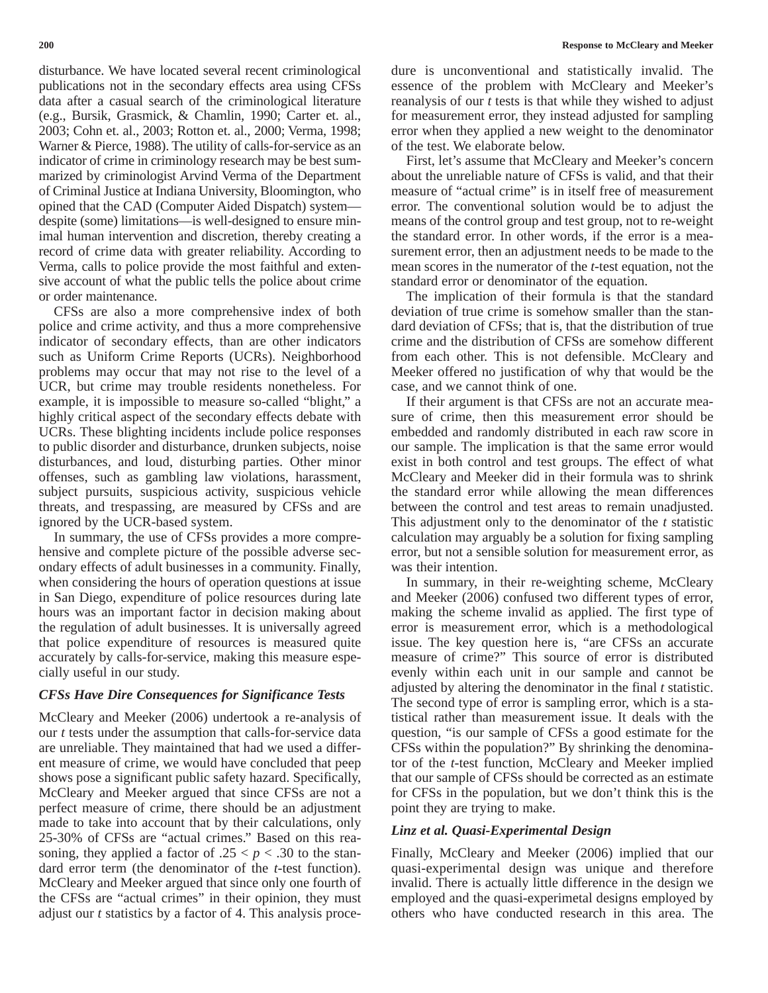disturbance. We have located several recent criminological publications not in the secondary effects area using CFSs data after a casual search of the criminological literature (e.g., Bursik, Grasmick, & Chamlin, 1990; Carter et. al., 2003; Cohn et. al., 2003; Rotton et. al., 2000; Verma, 1998; Warner & Pierce, 1988). The utility of calls-for-service as an indicator of crime in criminology research may be best summarized by criminologist Arvind Verma of the Department of Criminal Justice at Indiana University, Bloomington, who opined that the CAD (Computer Aided Dispatch) system despite (some) limitations—is well-designed to ensure minimal human intervention and discretion, thereby creating a record of crime data with greater reliability. According to Verma, calls to police provide the most faithful and extensive account of what the public tells the police about crime or order maintenance.

CFSs are also a more comprehensive index of both police and crime activity, and thus a more comprehensive indicator of secondary effects, than are other indicators such as Uniform Crime Reports (UCRs). Neighborhood problems may occur that may not rise to the level of a UCR, but crime may trouble residents nonetheless. For example, it is impossible to measure so-called "blight," a highly critical aspect of the secondary effects debate with UCRs. These blighting incidents include police responses to public disorder and disturbance, drunken subjects, noise disturbances, and loud, disturbing parties. Other minor offenses, such as gambling law violations, harassment, subject pursuits, suspicious activity, suspicious vehicle threats, and trespassing, are measured by CFSs and are ignored by the UCR-based system.

In summary, the use of CFSs provides a more comprehensive and complete picture of the possible adverse secondary effects of adult businesses in a community. Finally, when considering the hours of operation questions at issue in San Diego, expenditure of police resources during late hours was an important factor in decision making about the regulation of adult businesses. It is universally agreed that police expenditure of resources is measured quite accurately by calls-for-service, making this measure especially useful in our study.

# *CFSs Have Dire Consequences for Significance Tests*

McCleary and Meeker (2006) undertook a re-analysis of our *t* tests under the assumption that calls-for-service data are unreliable. They maintained that had we used a different measure of crime, we would have concluded that peep shows pose a significant public safety hazard. Specifically, McCleary and Meeker argued that since CFSs are not a perfect measure of crime, there should be an adjustment made to take into account that by their calculations, only 25-30% of CFSs are "actual crimes." Based on this reasoning, they applied a factor of  $.25 < p < .30$  to the standard error term (the denominator of the *t*-test function). McCleary and Meeker argued that since only one fourth of the CFSs are "actual crimes" in their opinion, they must adjust our *t* statistics by a factor of 4. This analysis procedure is unconventional and statistically invalid. The essence of the problem with McCleary and Meeker's reanalysis of our *t* tests is that while they wished to adjust for measurement error, they instead adjusted for sampling error when they applied a new weight to the denominator of the test. We elaborate below.

First, let's assume that McCleary and Meeker's concern about the unreliable nature of CFSs is valid, and that their measure of "actual crime" is in itself free of measurement error. The conventional solution would be to adjust the means of the control group and test group, not to re-weight the standard error. In other words, if the error is a measurement error, then an adjustment needs to be made to the mean scores in the numerator of the *t*-test equation, not the standard error or denominator of the equation.

The implication of their formula is that the standard deviation of true crime is somehow smaller than the standard deviation of CFSs; that is, that the distribution of true crime and the distribution of CFSs are somehow different from each other. This is not defensible. McCleary and Meeker offered no justification of why that would be the case, and we cannot think of one.

If their argument is that CFSs are not an accurate measure of crime, then this measurement error should be embedded and randomly distributed in each raw score in our sample. The implication is that the same error would exist in both control and test groups. The effect of what McCleary and Meeker did in their formula was to shrink the standard error while allowing the mean differences between the control and test areas to remain unadjusted. This adjustment only to the denominator of the *t* statistic calculation may arguably be a solution for fixing sampling error, but not a sensible solution for measurement error, as was their intention.

In summary, in their re-weighting scheme, McCleary and Meeker (2006) confused two different types of error, making the scheme invalid as applied. The first type of error is measurement error, which is a methodological issue. The key question here is, "are CFSs an accurate measure of crime?" This source of error is distributed evenly within each unit in our sample and cannot be adjusted by altering the denominator in the final *t* statistic. The second type of error is sampling error, which is a statistical rather than measurement issue. It deals with the question, "is our sample of CFSs a good estimate for the CFSs within the population?" By shrinking the denominator of the *t-*test function, McCleary and Meeker implied that our sample of CFSs should be corrected as an estimate for CFSs in the population, but we don't think this is the point they are trying to make.

# *Linz et al. Quasi-Experimental Design*

Finally, McCleary and Meeker (2006) implied that our quasi-experimental design was unique and therefore invalid. There is actually little difference in the design we employed and the quasi-experimetal designs employed by others who have conducted research in this area. The